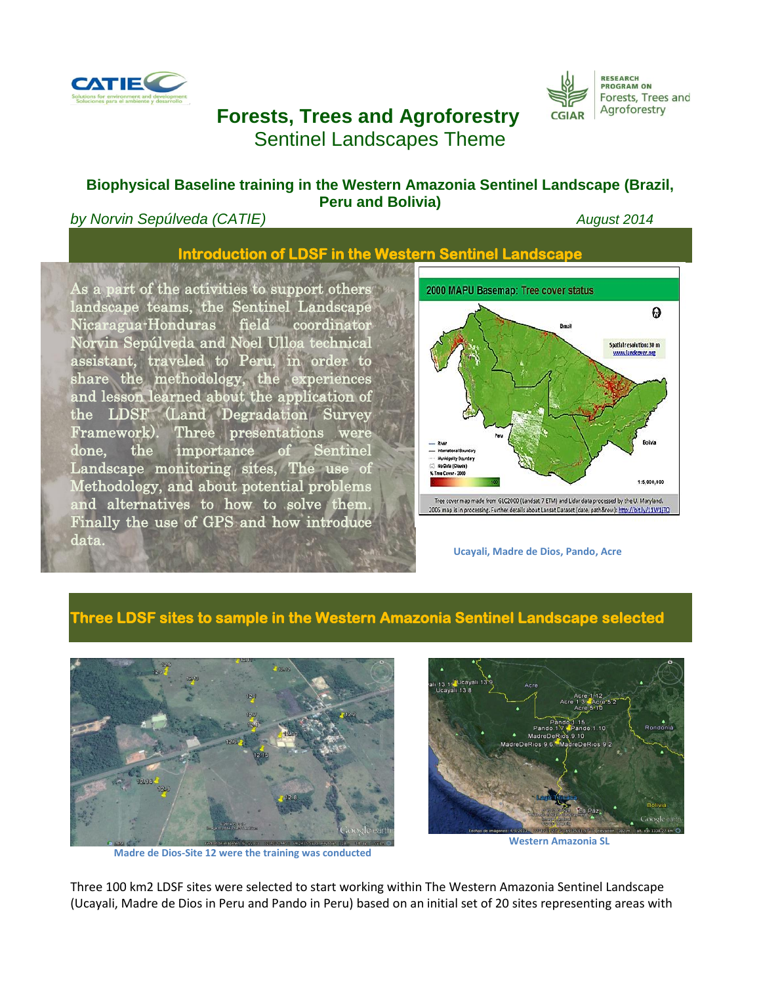

# **Forests, Trees and Agroforestry** Sentinel Landscapes Theme

#### **Biophysical Baseline training in the Western Amazonia Sentinel Landscape (Brazil, Peru and Bolivia)**

#### **by Norvin Sepúlveda (CATIE)** *August* **2014**

**RESEARCH<br>PROGRAM ON** 

**CGIAR** 

Forests, Trees and Agroforestry

## **Introduction of LDSF in the Western Sentinel Landscape**

As a part of the activities to support others landscape teams, the Sentinel Landscape Nicaragua-Honduras field coordinator Norvin Sepúlveda and Noel Ulloa technical assistant, traveled to Peru, in order to share the methodology, the experiences and lesson learned about the application of the LDSF (Land Degradation Survey Framework). Three presentations were done, the importance of Sentinel Landscape monitoring sites, The use of Methodology, and about potential problems and alternatives to how to solve them. Finally the use of GPS and how introduce data.



**Ucayali, Madre de Dios, Pando, Acre**

### **Three LDSF sites to sample in the Western Amazonia Sentinel Landscape selected**

l



**Madre de Dios-Site 12 were the training was conducted**



**Western Amazonia SL**

Three 100 km2 LDSF sites were selected to start working within The Western Amazonia Sentinel Landscape (Ucayali, Madre de Dios in Peru and Pando in Peru) based on an initial set of 20 sites representing areas with